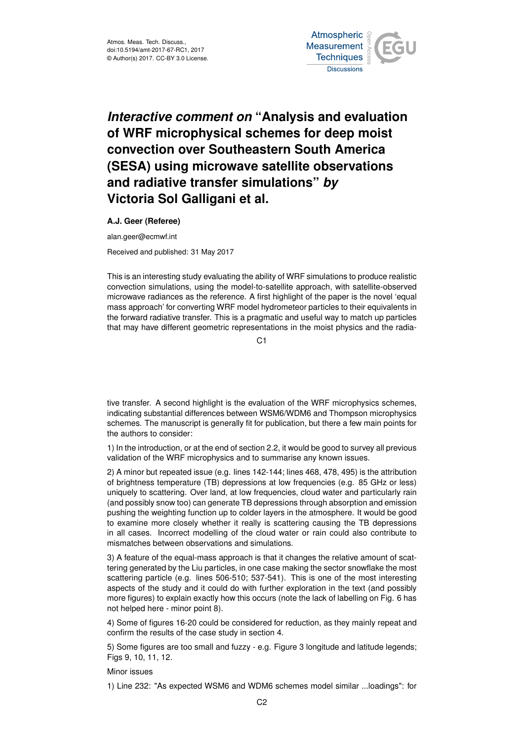

## *Interactive comment on* **"Analysis and evaluation of WRF microphysical schemes for deep moist convection over Southeastern South America (SESA) using microwave satellite observations and radiative transfer simulations"** *by* **Victoria Sol Galligani et al.**

## **A.J. Geer (Referee)**

alan.geer@ecmwf.int

Received and published: 31 May 2017

This is an interesting study evaluating the ability of WRF simulations to produce realistic convection simulations, using the model-to-satellite approach, with satellite-observed microwave radiances as the reference. A first highlight of the paper is the novel 'equal mass approach' for converting WRF model hydrometeor particles to their equivalents in the forward radiative transfer. This is a pragmatic and useful way to match up particles that may have different geometric representations in the moist physics and the radia-

 $C<sub>1</sub>$ 

tive transfer. A second highlight is the evaluation of the WRF microphysics schemes, indicating substantial differences between WSM6/WDM6 and Thompson microphysics schemes. The manuscript is generally fit for publication, but there a few main points for the authors to consider:

1) In the introduction, or at the end of section 2.2, it would be good to survey all previous validation of the WRF microphysics and to summarise any known issues.

2) A minor but repeated issue (e.g. lines 142-144; lines 468, 478, 495) is the attribution of brightness temperature (TB) depressions at low frequencies (e.g. 85 GHz or less) uniquely to scattering. Over land, at low frequencies, cloud water and particularly rain (and possibly snow too) can generate TB depressions through absorption and emission pushing the weighting function up to colder layers in the atmosphere. It would be good to examine more closely whether it really is scattering causing the TB depressions in all cases. Incorrect modelling of the cloud water or rain could also contribute to mismatches between observations and simulations.

3) A feature of the equal-mass approach is that it changes the relative amount of scattering generated by the Liu particles, in one case making the sector snowflake the most scattering particle (e.g. lines 506-510; 537-541). This is one of the most interesting aspects of the study and it could do with further exploration in the text (and possibly more figures) to explain exactly how this occurs (note the lack of labelling on Fig. 6 has not helped here - minor point 8).

4) Some of figures 16-20 could be considered for reduction, as they mainly repeat and confirm the results of the case study in section 4.

5) Some figures are too small and fuzzy - e.g. Figure 3 longitude and latitude legends; Figs 9, 10, 11, 12.

Minor issues

1) Line 232: "As expected WSM6 and WDM6 schemes model similar ...loadings": for